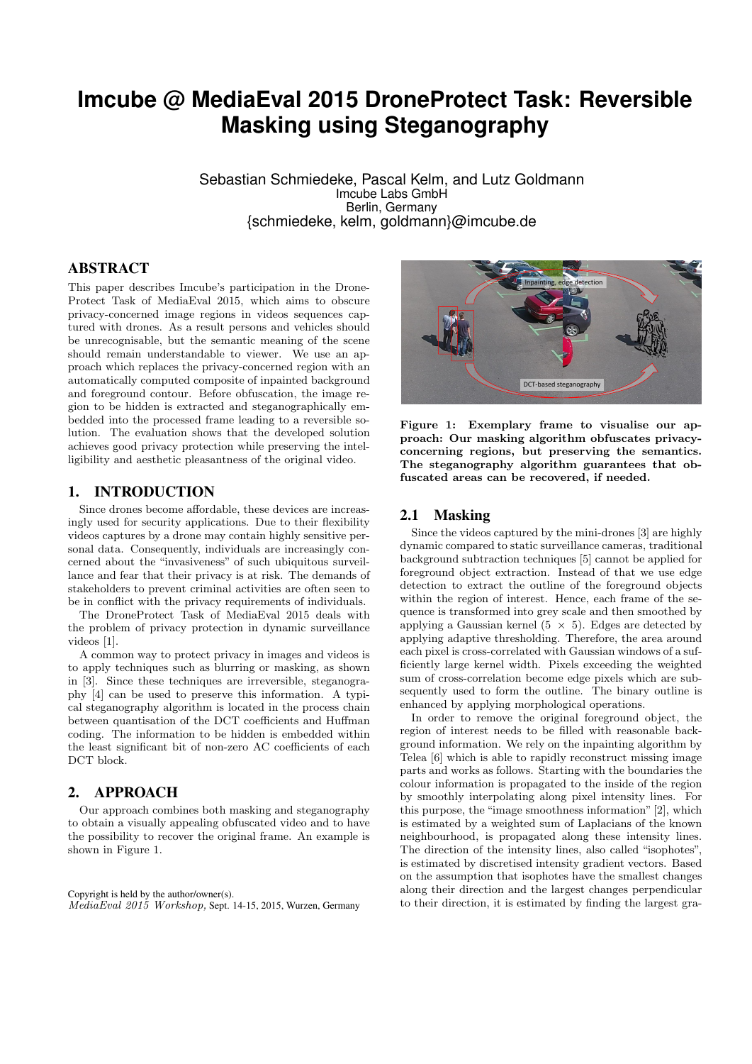# **Imcube @ MediaEval 2015 DroneProtect Task: Reversible Masking using Steganography**

Sebastian Schmiedeke, Pascal Kelm, and Lutz Goldmann Imcube Labs GmbH Berlin, Germany {schmiedeke, kelm, goldmann}@imcube.de

# ABSTRACT

This paper describes Imcube's participation in the Drone-Protect Task of MediaEval 2015, which aims to obscure privacy-concerned image regions in videos sequences captured with drones. As a result persons and vehicles should be unrecognisable, but the semantic meaning of the scene should remain understandable to viewer. We use an approach which replaces the privacy-concerned region with an automatically computed composite of inpainted background and foreground contour. Before obfuscation, the image region to be hidden is extracted and steganographically embedded into the processed frame leading to a reversible solution. The evaluation shows that the developed solution achieves good privacy protection while preserving the intelligibility and aesthetic pleasantness of the original video.

## 1. INTRODUCTION

Since drones become affordable, these devices are increasingly used for security applications. Due to their flexibility videos captures by a drone may contain highly sensitive personal data. Consequently, individuals are increasingly concerned about the "invasiveness" of such ubiquitous surveillance and fear that their privacy is at risk. The demands of stakeholders to prevent criminal activities are often seen to be in conflict with the privacy requirements of individuals.

The DroneProtect Task of MediaEval 2015 deals with the problem of privacy protection in dynamic surveillance videos [1].

A common way to protect privacy in images and videos is to apply techniques such as blurring or masking, as shown in [3]. Since these techniques are irreversible, steganography [4] can be used to preserve this information. A typical steganography algorithm is located in the process chain between quantisation of the DCT coefficients and Huffman coding. The information to be hidden is embedded within the least significant bit of non-zero AC coefficients of each DCT block.

# 2. APPROACH

Our approach combines both masking and steganography to obtain a visually appealing obfuscated video and to have the possibility to recover the original frame. An example is shown in Figure 1.

Copyright is held by the author/owner(s). MediaEval 2015 Workshop, Sept. 14-15, 2015, Wurzen, Germany



Figure 1: Exemplary frame to visualise our approach: Our masking algorithm obfuscates privacyconcerning regions, but preserving the semantics. The steganography algorithm guarantees that obfuscated areas can be recovered, if needed.

#### 2.1 Masking

Since the videos captured by the mini-drones [3] are highly dynamic compared to static surveillance cameras, traditional background subtraction techniques [5] cannot be applied for foreground object extraction. Instead of that we use edge detection to extract the outline of the foreground objects within the region of interest. Hence, each frame of the sequence is transformed into grey scale and then smoothed by applying a Gaussian kernel (5  $\times$  5). Edges are detected by applying adaptive thresholding. Therefore, the area around each pixel is cross-correlated with Gaussian windows of a sufficiently large kernel width. Pixels exceeding the weighted sum of cross-correlation become edge pixels which are subsequently used to form the outline. The binary outline is enhanced by applying morphological operations.

In order to remove the original foreground object, the region of interest needs to be filled with reasonable background information. We rely on the inpainting algorithm by Telea [6] which is able to rapidly reconstruct missing image parts and works as follows. Starting with the boundaries the colour information is propagated to the inside of the region by smoothly interpolating along pixel intensity lines. For this purpose, the "image smoothness information" [2], which is estimated by a weighted sum of Laplacians of the known neighbourhood, is propagated along these intensity lines. The direction of the intensity lines, also called "isophotes", is estimated by discretised intensity gradient vectors. Based on the assumption that isophotes have the smallest changes along their direction and the largest changes perpendicular to their direction, it is estimated by finding the largest gra-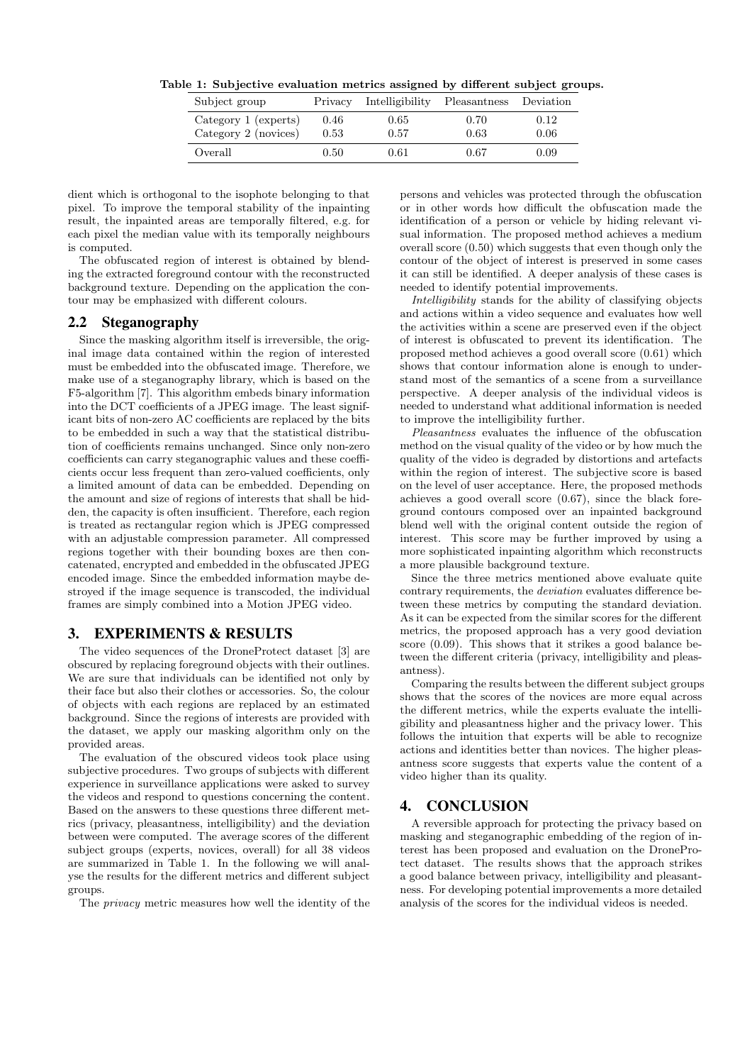| Subject group        | Privacy | Intelligibility | Pleasantness Deviation |      |
|----------------------|---------|-----------------|------------------------|------|
| Category 1 (experts) | 0.46    | $0.65\,$        | 0.70                   | 0.12 |
| Category 2 (novices) | 0.53    | 0.57            | 0.63                   | 0.06 |
| Overall              | 0.50    | 0.61            | 0.67                   | 0.09 |

Table 1: Subjective evaluation metrics assigned by different subject groups.

dient which is orthogonal to the isophote belonging to that pixel. To improve the temporal stability of the inpainting result, the inpainted areas are temporally filtered, e.g. for each pixel the median value with its temporally neighbours is computed.

The obfuscated region of interest is obtained by blending the extracted foreground contour with the reconstructed background texture. Depending on the application the contour may be emphasized with different colours.

## 2.2 Steganography

Since the masking algorithm itself is irreversible, the original image data contained within the region of interested must be embedded into the obfuscated image. Therefore, we make use of a steganography library, which is based on the F5-algorithm [7]. This algorithm embeds binary information into the DCT coefficients of a JPEG image. The least significant bits of non-zero AC coefficients are replaced by the bits to be embedded in such a way that the statistical distribution of coefficients remains unchanged. Since only non-zero coefficients can carry steganographic values and these coefficients occur less frequent than zero-valued coefficients, only a limited amount of data can be embedded. Depending on the amount and size of regions of interests that shall be hidden, the capacity is often insufficient. Therefore, each region is treated as rectangular region which is JPEG compressed with an adjustable compression parameter. All compressed regions together with their bounding boxes are then concatenated, encrypted and embedded in the obfuscated JPEG encoded image. Since the embedded information maybe destroyed if the image sequence is transcoded, the individual frames are simply combined into a Motion JPEG video.

# 3. EXPERIMENTS & RESULTS

The video sequences of the DroneProtect dataset [3] are obscured by replacing foreground objects with their outlines. We are sure that individuals can be identified not only by their face but also their clothes or accessories. So, the colour of objects with each regions are replaced by an estimated background. Since the regions of interests are provided with the dataset, we apply our masking algorithm only on the provided areas.

The evaluation of the obscured videos took place using subjective procedures. Two groups of subjects with different experience in surveillance applications were asked to survey the videos and respond to questions concerning the content. Based on the answers to these questions three different metrics (privacy, pleasantness, intelligibility) and the deviation between were computed. The average scores of the different subject groups (experts, novices, overall) for all 38 videos are summarized in Table 1. In the following we will analyse the results for the different metrics and different subject groups.

The privacy metric measures how well the identity of the

persons and vehicles was protected through the obfuscation or in other words how difficult the obfuscation made the identification of a person or vehicle by hiding relevant visual information. The proposed method achieves a medium overall score (0.50) which suggests that even though only the contour of the object of interest is preserved in some cases it can still be identified. A deeper analysis of these cases is needed to identify potential improvements.

Intelligibility stands for the ability of classifying objects and actions within a video sequence and evaluates how well the activities within a scene are preserved even if the object of interest is obfuscated to prevent its identification. The proposed method achieves a good overall score (0.61) which shows that contour information alone is enough to understand most of the semantics of a scene from a surveillance perspective. A deeper analysis of the individual videos is needed to understand what additional information is needed to improve the intelligibility further.

Pleasantness evaluates the influence of the obfuscation method on the visual quality of the video or by how much the quality of the video is degraded by distortions and artefacts within the region of interest. The subjective score is based on the level of user acceptance. Here, the proposed methods achieves a good overall score (0.67), since the black foreground contours composed over an inpainted background blend well with the original content outside the region of interest. This score may be further improved by using a more sophisticated inpainting algorithm which reconstructs a more plausible background texture.

Since the three metrics mentioned above evaluate quite contrary requirements, the deviation evaluates difference between these metrics by computing the standard deviation. As it can be expected from the similar scores for the different metrics, the proposed approach has a very good deviation score (0.09). This shows that it strikes a good balance between the different criteria (privacy, intelligibility and pleasantness).

Comparing the results between the different subject groups shows that the scores of the novices are more equal across the different metrics, while the experts evaluate the intelligibility and pleasantness higher and the privacy lower. This follows the intuition that experts will be able to recognize actions and identities better than novices. The higher pleasantness score suggests that experts value the content of a video higher than its quality.

#### 4. CONCLUSION

A reversible approach for protecting the privacy based on masking and steganographic embedding of the region of interest has been proposed and evaluation on the DroneProtect dataset. The results shows that the approach strikes a good balance between privacy, intelligibility and pleasantness. For developing potential improvements a more detailed analysis of the scores for the individual videos is needed.